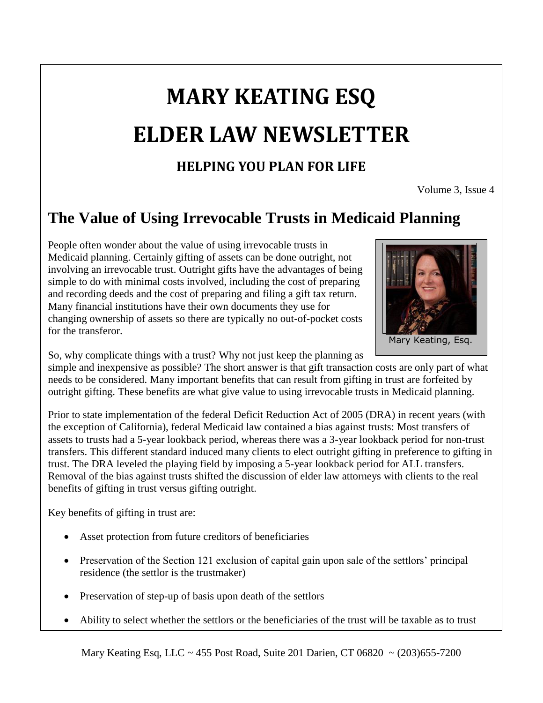# **MARY KEATING ESQ ELDER LAW NEWSLETTER**

### **HELPING YOU PLAN FOR LIFE**

Volume 3, Issue 4

## **The Value of Using Irrevocable Trusts in Medicaid Planning**

People often wonder about the value of using irrevocable trusts in Medicaid planning. Certainly gifting of assets can be done outright, not involving an irrevocable trust. Outright gifts have the advantages of being simple to do with minimal costs involved, including the cost of preparing and recording deeds and the cost of preparing and filing a gift tax return. Many financial institutions have their own documents they use for changing ownership of assets so there are typically no out-of-pocket costs for the transferor.



So, why complicate things with a trust? Why not just keep the planning as

simple and inexpensive as possible? The short answer is that gift transaction costs are only part of what needs to be considered. Many important benefits that can result from gifting in trust are forfeited by outright gifting. These benefits are what give value to using irrevocable trusts in Medicaid planning.

Prior to state implementation of the federal Deficit Reduction Act of 2005 (DRA) in recent years (with the exception of California), federal Medicaid law contained a bias against trusts: Most transfers of assets to trusts had a 5-year lookback period, whereas there was a 3-year lookback period for non-trust transfers. This different standard induced many clients to elect outright gifting in preference to gifting in trust. The DRA leveled the playing field by imposing a 5-year lookback period for ALL transfers. Removal of the bias against trusts shifted the discussion of elder law attorneys with clients to the real benefits of gifting in trust versus gifting outright.

Key benefits of gifting in trust are:

- Asset protection from future creditors of beneficiaries
- Preservation of the Section 121 exclusion of capital gain upon sale of the settlors' principal residence (the settlor is the trustmaker)
- Preservation of step-up of basis upon death of the settlors
- Ability to select whether the settlors or the beneficiaries of the trust will be taxable as to trust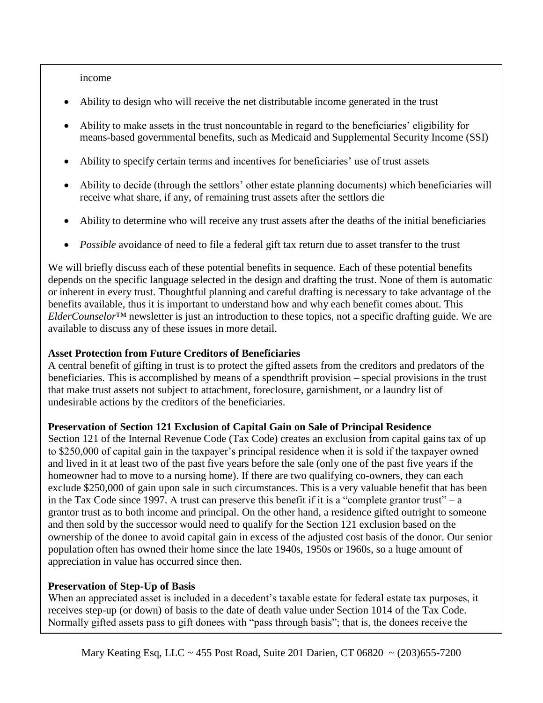income

- Ability to design who will receive the net distributable income generated in the trust
- Ability to make assets in the trust noncountable in regard to the beneficiaries' eligibility for means-based governmental benefits, such as Medicaid and Supplemental Security Income (SSI)
- Ability to specify certain terms and incentives for beneficiaries' use of trust assets
- Ability to decide (through the settlors' other estate planning documents) which beneficiaries will receive what share, if any, of remaining trust assets after the settlors die
- Ability to determine who will receive any trust assets after the deaths of the initial beneficiaries
- *Possible* avoidance of need to file a federal gift tax return due to asset transfer to the trust

We will briefly discuss each of these potential benefits in sequence. Each of these potential benefits depends on the specific language selected in the design and drafting the trust. None of them is automatic or inherent in every trust. Thoughtful planning and careful drafting is necessary to take advantage of the benefits available, thus it is important to understand how and why each benefit comes about. This *ElderCounselor*™ newsletter is just an introduction to these topics, not a specific drafting guide. We are available to discuss any of these issues in more detail.

#### **Asset Protection from Future Creditors of Beneficiaries**

A central benefit of gifting in trust is to protect the gifted assets from the creditors and predators of the beneficiaries. This is accomplished by means of a spendthrift provision – special provisions in the trust that make trust assets not subject to attachment, foreclosure, garnishment, or a laundry list of undesirable actions by the creditors of the beneficiaries.

#### **Preservation of Section 121 Exclusion of Capital Gain on Sale of Principal Residence**

Section 121 of the Internal Revenue Code (Tax Code) creates an exclusion from capital gains tax of up to \$250,000 of capital gain in the taxpayer's principal residence when it is sold if the taxpayer owned and lived in it at least two of the past five years before the sale (only one of the past five years if the homeowner had to move to a nursing home). If there are two qualifying co-owners, they can each exclude \$250,000 of gain upon sale in such circumstances. This is a very valuable benefit that has been in the Tax Code since 1997. A trust can preserve this benefit if it is a "complete grantor trust" – a grantor trust as to both income and principal. On the other hand, a residence gifted outright to someone and then sold by the successor would need to qualify for the Section 121 exclusion based on the ownership of the donee to avoid capital gain in excess of the adjusted cost basis of the donor. Our senior population often has owned their home since the late 1940s, 1950s or 1960s, so a huge amount of appreciation in value has occurred since then.

#### **Preservation of Step-Up of Basis**

When an appreciated asset is included in a decedent's taxable estate for federal estate tax purposes, it receives step-up (or down) of basis to the date of death value under Section 1014 of the Tax Code. Normally gifted assets pass to gift donees with "pass through basis"; that is, the donees receive the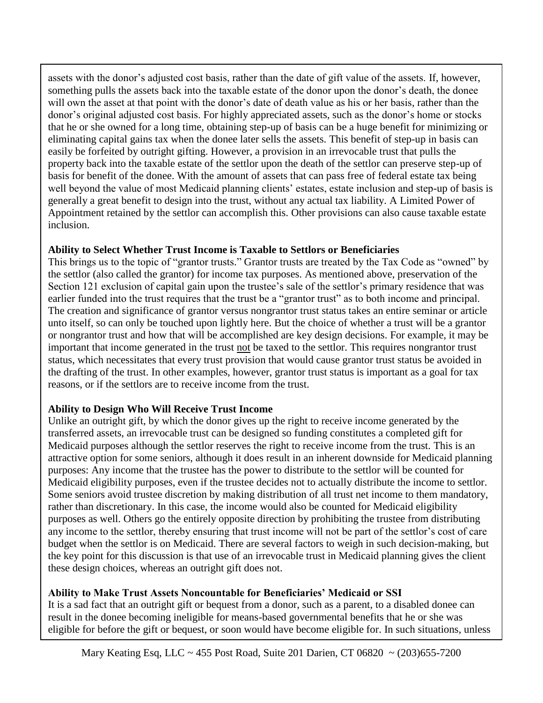assets with the donor's adjusted cost basis, rather than the date of gift value of the assets. If, however, something pulls the assets back into the taxable estate of the donor upon the donor's death, the donee will own the asset at that point with the donor's date of death value as his or her basis, rather than the donor's original adjusted cost basis. For highly appreciated assets, such as the donor's home or stocks that he or she owned for a long time, obtaining step-up of basis can be a huge benefit for minimizing or eliminating capital gains tax when the donee later sells the assets. This benefit of step-up in basis can easily be forfeited by outright gifting. However, a provision in an irrevocable trust that pulls the property back into the taxable estate of the settlor upon the death of the settlor can preserve step-up of basis for benefit of the donee. With the amount of assets that can pass free of federal estate tax being well beyond the value of most Medicaid planning clients' estates, estate inclusion and step-up of basis is generally a great benefit to design into the trust, without any actual tax liability. A Limited Power of Appointment retained by the settlor can accomplish this. Other provisions can also cause taxable estate inclusion.

#### **Ability to Select Whether Trust Income is Taxable to Settlors or Beneficiaries**

This brings us to the topic of "grantor trusts." Grantor trusts are treated by the Tax Code as "owned" by the settlor (also called the grantor) for income tax purposes. As mentioned above, preservation of the Section 121 exclusion of capital gain upon the trustee's sale of the settlor's primary residence that was earlier funded into the trust requires that the trust be a "grantor trust" as to both income and principal. The creation and significance of grantor versus nongrantor trust status takes an entire seminar or article unto itself, so can only be touched upon lightly here. But the choice of whether a trust will be a grantor or nongrantor trust and how that will be accomplished are key design decisions. For example, it may be important that income generated in the trust not be taxed to the settlor. This requires nongrantor trust status, which necessitates that every trust provision that would cause grantor trust status be avoided in the drafting of the trust. In other examples, however, grantor trust status is important as a goal for tax reasons, or if the settlors are to receive income from the trust.

#### **Ability to Design Who Will Receive Trust Income**

Unlike an outright gift, by which the donor gives up the right to receive income generated by the transferred assets, an irrevocable trust can be designed so funding constitutes a completed gift for Medicaid purposes although the settlor reserves the right to receive income from the trust. This is an attractive option for some seniors, although it does result in an inherent downside for Medicaid planning purposes: Any income that the trustee has the power to distribute to the settlor will be counted for Medicaid eligibility purposes, even if the trustee decides not to actually distribute the income to settlor. Some seniors avoid trustee discretion by making distribution of all trust net income to them mandatory, rather than discretionary. In this case, the income would also be counted for Medicaid eligibility purposes as well. Others go the entirely opposite direction by prohibiting the trustee from distributing any income to the settlor, thereby ensuring that trust income will not be part of the settlor's cost of care budget when the settlor is on Medicaid. There are several factors to weigh in such decision-making, but the key point for this discussion is that use of an irrevocable trust in Medicaid planning gives the client these design choices, whereas an outright gift does not.

#### **Ability to Make Trust Assets Noncountable for Beneficiaries' Medicaid or SSI**

It is a sad fact that an outright gift or bequest from a donor, such as a parent, to a disabled donee can result in the donee becoming ineligible for means-based governmental benefits that he or she was eligible for before the gift or bequest, or soon would have become eligible for. In such situations, unless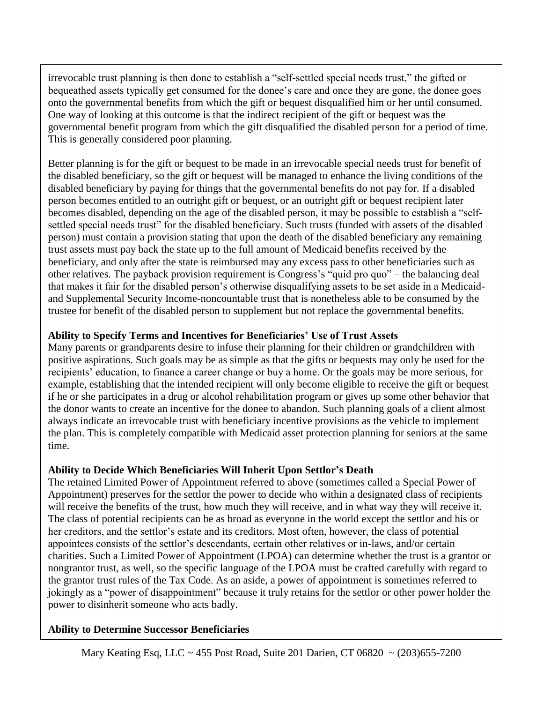irrevocable trust planning is then done to establish a "self-settled special needs trust," the gifted or bequeathed assets typically get consumed for the donee's care and once they are gone, the donee goes onto the governmental benefits from which the gift or bequest disqualified him or her until consumed. One way of looking at this outcome is that the indirect recipient of the gift or bequest was the governmental benefit program from which the gift disqualified the disabled person for a period of time. This is generally considered poor planning.

Better planning is for the gift or bequest to be made in an irrevocable special needs trust for benefit of the disabled beneficiary, so the gift or bequest will be managed to enhance the living conditions of the disabled beneficiary by paying for things that the governmental benefits do not pay for. If a disabled person becomes entitled to an outright gift or bequest, or an outright gift or bequest recipient later becomes disabled, depending on the age of the disabled person, it may be possible to establish a "selfsettled special needs trust" for the disabled beneficiary. Such trusts (funded with assets of the disabled person) must contain a provision stating that upon the death of the disabled beneficiary any remaining trust assets must pay back the state up to the full amount of Medicaid benefits received by the beneficiary, and only after the state is reimbursed may any excess pass to other beneficiaries such as other relatives. The payback provision requirement is Congress's "quid pro quo" – the balancing deal that makes it fair for the disabled person's otherwise disqualifying assets to be set aside in a Medicaidand Supplemental Security Income-noncountable trust that is nonetheless able to be consumed by the trustee for benefit of the disabled person to supplement but not replace the governmental benefits.

#### **Ability to Specify Terms and Incentives for Beneficiaries' Use of Trust Assets**

Many parents or grandparents desire to infuse their planning for their children or grandchildren with positive aspirations. Such goals may be as simple as that the gifts or bequests may only be used for the recipients' education, to finance a career change or buy a home. Or the goals may be more serious, for example, establishing that the intended recipient will only become eligible to receive the gift or bequest if he or she participates in a drug or alcohol rehabilitation program or gives up some other behavior that the donor wants to create an incentive for the donee to abandon. Such planning goals of a client almost always indicate an irrevocable trust with beneficiary incentive provisions as the vehicle to implement the plan. This is completely compatible with Medicaid asset protection planning for seniors at the same time.

#### **Ability to Decide Which Beneficiaries Will Inherit Upon Settlor's Death**

The retained Limited Power of Appointment referred to above (sometimes called a Special Power of Appointment) preserves for the settlor the power to decide who within a designated class of recipients will receive the benefits of the trust, how much they will receive, and in what way they will receive it. The class of potential recipients can be as broad as everyone in the world except the settlor and his or her creditors, and the settlor's estate and its creditors. Most often, however, the class of potential appointees consists of the settlor's descendants, certain other relatives or in-laws, and/or certain charities. Such a Limited Power of Appointment (LPOA) can determine whether the trust is a grantor or nongrantor trust, as well, so the specific language of the LPOA must be crafted carefully with regard to the grantor trust rules of the Tax Code. As an aside, a power of appointment is sometimes referred to jokingly as a "power of disappointment" because it truly retains for the settlor or other power holder the power to disinherit someone who acts badly.

#### **Ability to Determine Successor Beneficiaries**